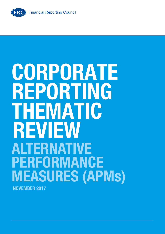**FRC** 

# **CORPORATE REPORTING THEMATIC REVIEW ALTERNATIVE PERFORMANCE MEASURES (APMs) NOVEMBER 2017**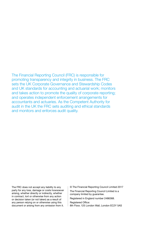The Financial Reporting Council (FRC) is responsible for promoting transparency and integrity in business. The FRC sets the UK Corporate Governance and Stewardship Codes and UK standards for accounting and actuarial work; monitors and takes action to promote the quality of corporate reporting; and operates independent enforcement arrangements for accountants and actuaries. As the Competent Authority for audit in the UK the FRC sets auditing and ethical standards and monitors and enforces audit quality.

The FRC does not accept any liability to any party for any loss, damage or costs howsoever arising, whether directly or indirectly, whether in contract, tort or otherwise from any action or decision taken (or not taken) as a result of any person relying on or otherwise using this document or arising from any omission from it.

© The Financial Reporting Council Limited 2017 The Financial Reporting Council Limited is a company limited by guarantee. Registered in England number 2486368. Registered Office:

8th Floor, 125 London Wall, London EC2Y 5AS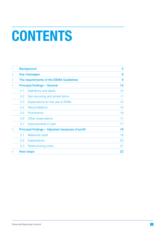# **CONTENTS**

| 1              | <b>Background</b>                                | 5<br>6                           |                 |
|----------------|--------------------------------------------------|----------------------------------|-----------------|
| $\overline{2}$ | <b>Key messages</b>                              |                                  |                 |
| 3              | The requirements of the ESMA Guidelines          | 8                                |                 |
| 4              | <b>Principal findings - General</b>              | 10                               |                 |
|                | 4.1                                              | Definitions and labels           | 10              |
|                | 4.2                                              | Non-recurring and similar terms  | 11              |
|                | 4.3                                              | Explanations for the use of APMs | 12 <sub>2</sub> |
|                | 4.4                                              | Reconciliations                  | 14              |
|                | 4.5                                              | Prominence                       | 16              |
|                | 4.6                                              | Other observations               | 17              |
|                | 4.7                                              | Improvements in year             | 17              |
| 5              | Principal findings - Adjusted measures of profit | 18                               |                 |
|                | 5.1                                              | Measures used                    | 18              |
|                | 5.2                                              | <b>Explanations</b>              | 20              |
|                | 5.3                                              | <b>Restructuring costs</b>       | 21              |
| 6              |                                                  | <b>Next steps</b>                | 22              |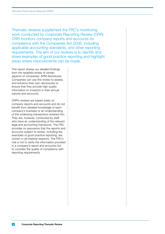Thematic reviews supplement the FRC's monitoring work conducted by Corporate Reporting Review (CRR). CRR monitors company reports and accounts for compliance with the Companies Act 2006, including applicable accounting standards, and other reporting requirements. The aim of our reviews is to identify and share examples of good practice reporting and highlight areas where improvements can be made.

This report shares our detailed findings from the targeted review of certain aspects of companies' APM disclosures. Companies can use this review to assess and enhance their own disclosures to ensure that they provide high quality information to investors in their annual reports and accounts.

CRR's reviews are based solely on company reports and accounts and do not benefit from detailed knowledge of each company's business or an understanding of the underlying transactions entered into. They are, however, conducted by staff who have an understanding of the relevant legal and accounting framework. The FRC provides no assurance that the reports and accounts subject to review, including the examples of good practice reporting, are correct in all material respects. The FRC's role is not to verify the information provided in a company's report and accounts but to consider the quality of compliance with reporting requirements.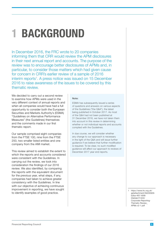## <span id="page-4-0"></span>**1 BACKGROUND**

In December 2016, the FRC wrote to 20 companies informing them that CRR would review the APM disclosures in their next annual report and accounts. The purpose of the review was to encourage better disclosures of APMs and, in particular, to consider those matters which had given cause for concern in CRR's earlier review of a sample of 2016 interim reports<sup>1</sup>. A press notice was issued on 15 December 2016 to raise awareness of the issues to be covered by this thematic review.

We decided to carry out a second review to examine how APMs were used in the very different context of annual reports and when all companies would have had a full opportunity to consider both the European Securities and Markets Authority's (ESMA) "Guidelines on Alternative Performance Measures" (the Guidelines) themselves and the comments made in our first thematic report.

Our sample comprised eight companies from the FTSE 100, nine from the FTSE 250, two smaller listed entities and one company from the AIM market.

This review aimed to establish the extent to which the reports and accounts considered were consistent with the Guidelines. In carrying out the review, we took into consideration the findings of our 2016 review. We also identified, by comparing the reports with the equivalent document for the previous year, what steps, if any, companies had taken to achieve greater consistency with the Guidelines. In line with our objective of achieving continuous improvement in reporting, we have sought to identify examples of good practice.

#### Note:

ESMA has subsequently issued a series of questions and answers on various aspects of the Guidelines ("the Q&A"), the latest being published in October 2017. As most of the Q&A had not been published at 31 December 2016, we have not taken them into account in this review in determining whether or not individual reports and accounts complied with the Guidelines.

In due course, we will consider whether any change to our approach is necessary in the light of the Q&A and will issue further guidance if we believe that further modification is required. To be clear, no such modified guidance will affect our approach to reviews of December 2017 year end reports.

> 1 [https://www.frc.org.uk/](https://www.frc.org.uk/getattachment/3b030929-b2ba-4f07-85f8-00e5eb1f1403/Corporate-Reporting-Thematic-Review_APMs-v2-1.pdf) [getattachment/3b030929](https://www.frc.org.uk/getattachment/3b030929-b2ba-4f07-85f8-00e5eb1f1403/Corporate-Reporting-Thematic-Review_APMs-v2-1.pdf) [b2ba-4f07-85f8-](https://www.frc.org.uk/getattachment/3b030929-b2ba-4f07-85f8-00e5eb1f1403/Corporate-Reporting-Thematic-Review_APMs-v2-1.pdf) [00e5eb1f1403/](https://www.frc.org.uk/getattachment/3b030929-b2ba-4f07-85f8-00e5eb1f1403/Corporate-Reporting-Thematic-Review_APMs-v2-1.pdf) [Corporate-Reporting-](https://www.frc.org.uk/getattachment/3b030929-b2ba-4f07-85f8-00e5eb1f1403/Corporate-Reporting-Thematic-Review_APMs-v2-1.pdf)[Thematic-Review\\_](https://www.frc.org.uk/getattachment/3b030929-b2ba-4f07-85f8-00e5eb1f1403/Corporate-Reporting-Thematic-Review_APMs-v2-1.pdf) [APMs-v2-1.pdf](https://www.frc.org.uk/getattachment/3b030929-b2ba-4f07-85f8-00e5eb1f1403/Corporate-Reporting-Thematic-Review_APMs-v2-1.pdf)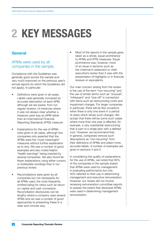## <span id="page-5-0"></span>**2 KEY MESSAGES**

#### **General**

#### APMs were used by all companies in the sample.

Compliance with the Guidelines was generally good across the sample and very much improved on the previous year's annual reports (to which the Guidelines did not apply). In particular:

- Definitions were given in all cases. Labels used generally conveyed an accurate description of each APM, although we are aware, from our regular reviews, of instances where it was not always clear whether a measure used was an APM rather than an International Financial Reporting Standards (IFRS) measure.
- Explanations for the use of APMs were given in all cases, although two companies only asserted that the APMs were the "most meaningful" measures without further explanation as to why. We saw a number of good examples and also noted helpful "health warnings" being inserted by several companies. We also found far fewer explanations using either cursory or boilerplate wordings than in our previous review.
- Reconciliations were given by all companies but not necessarily for all APMs used; the most frequently omitted being for ratios such as return on capital and cash conversion. Reconciliation disclosures can be lengthy where a company uses several APMs and we saw a number of good approaches to presenting these in a clear and concise way.

Most of the reports in the sample gave, taken as a whole, equal prominence to APMs and IFRS measures. Equal prominence was, however, more of an issue in sections such as the chairman's statement or chief executive's review than it was with the presentation of highlights or in financial reviews or equivalents.

Our main concern arising from the review is the use of the term "non-recurring" and the use of similar terms such as "unusual", "infrequent" and "one-off" in connection with items such as restructuring costs and impairment charges. For larger companies in particular, there will be few occasions when there is only one event in a period of years which drives such charges. We accept that there will be some such cases where more than one year is affected, for example, a very substantial restructuring that is part of a single plan with a defined cost. However, we recommend that, in general, companies remove such descriptions as "non-recurring" from their definitions of APMs and select more accurate labels. A number of examples are given in sections 4 and 5.

In considering the quality of explanations for the use of APMs, we noted that 85% of the companies in the sample stated that APMs were used by management in evaluating performance but only 40% referred to their use in determining management and executive remuneration. However, our review did not involve reviewing remuneration committee reports to assess the extent that disclosed APMs were used in determining management remuneration.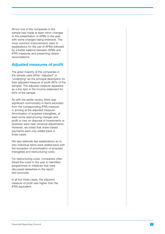All but one of the companies in the sample had made at least minor changes to the presentation of APMs in the year, with some changes being extensive. The most common improvements were to explanations for the use of APMs followed by a better balance between APMs and IFRS measures and presenting clearer reconciliations.

#### **Adjusted measures of profit**

The great majority of the companies in the sample used either "adjusted" or "underlying" as the principal description for their adjusted measure of profit (85% of the sample). The adjusted measure appeared as a line item in the income statement for 65% of the sample.

As with the earlier review, there was significant commonality in items excluded from the corresponding IFRS measure in arriving at the adjusted measure. Amortisation of acquired intangibles, at least some restructuring charges and profit or loss on disposal of investments or business were near universal adjustments. However, we noted that share-based payments were only added back in three cases.

We saw relatively few explanations as to why individual items were added back with the exception of amortisation of acquired intangibles and restructuring costs.

For restructuring costs, companies often linked the costs in the year to identified programmes or initiatives that were discussed elsewhere in the report and accounts.

In all but three cases, the adjusted measure of profit was higher than the IFRS equivalent.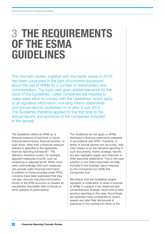### <span id="page-7-0"></span>**3 THE REQUIREMENTS OF THE ESMA GUIDELINES**

This thematic review, together with the earlier review in 2016, has been conducted in the light of concerns expressed about the use of APMs by a number of stakeholders and commentators. The topic was given added relevance by the issue of the Guidelines. Listed companies are required to make every effort to comply with the Guidelines, which apply to all regulated information, including interim statements and annual reports, published on or after 3 July 2016. The Guidelines therefore applied for the first time to the annual reports and accounts of the companies included in the sample.

The Guidelines define an APM as "a financial measure of historical or future financial performance, financial position, or cash flows, other than a financial measure defined or specified in the applicable financial reporting framework". The definition therefore covers, for example, adjusted measures of profit, such as underlying or adjusted profit. While many users acknowledge that such measures can provide useful financial information in addition to those provided under IFRS, concerns have been expressed that they can also obscure important information shown in the IFRS accounts or present an unjustifiably favourable view of trends or other aspects of performance.

The Guidelines do not apply to APMs disclosed in financial statements prepared in accordance with IFRS. Therefore, in terms of annual reports and accounts, their main impact is on the narrative reporting in such documents, mainly strategic reports but also highlights pages and chairman or chief executive statements. This is the case whether or not these have been formally included in the strategic report required by the Companies Act 2006 (the Companies Act).

We believe that the Guidelines largely represent a codification of what is required of APMs to support a fair, balanced and comprehensive strategic report and of best practice reporting in this area. Accordingly, we expected many companies to review, assess and alter their disclosures in response to the coming into force of the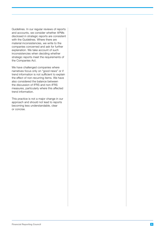Guidelines. In our regular reviews of reports and accounts, we consider whether APMs disclosed in strategic reports are consistent with the Guidelines. Where there are material inconsistencies, we write to the companies concerned and ask for further explanation. We take account of such inconsistencies when deciding whether strategic reports meet the requirements of the Companies Act.

We have challenged companies where narratives focus only on "good news" or if trend information is not sufficient to explain the effect of non-recurring items. We have also considered the balance between the discussion of IFRS and non-IFRS measures, particularly where this affected trend information.

This practice is not a major change in our approach and should not lead to reports becoming less understandable, clear or concise.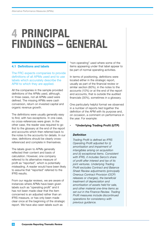### <span id="page-9-0"></span>**4 PRINCIPAL FINDINGS – GENERAL**

#### **4.1 Definitions and labels**

The FRC expects companies to provide definitions of all APMs used and to use labels which accurately describe the APM to which they are applied.

All the companies in the sample provided definitions of the APMs used, although, in three cases, not all APMs used were defined. The missing APMs were cash conversion, return on invested capital and organic revenue growth.

The definitions were usually generally easy to find, with two exceptions. In one case, no cross-references were given. In the other case, the reader was required to go first to the glossary at the end of the report and accounts which then referred back to the notes to the accounts for details. In our view, definitions should be clearly crossreferenced and complete in themselves.

The labels given to APMs generally reflected their content and basis of calculation. However, one company referred to its alternative measure of profit as "reported", which is potentially misleading. A reader would have been likely to assume that "reported" referred to the IFRS results.

From our regular reviews, we are aware of instances where APMs have been given labels such as "operating profit" and it has not been made clear that the item concerned is an adjusted rather than an IFRS measure, or has only been made clear once at the beginning of the strategic report. We have also seen labels such as

"non-operating" used where some of the items appearing under that label appear to be part of normal operating activities.

In terms of positioning, definitions were located either in the strategic report, usually as part of the financial review or similar section (60%), in the notes to the accounts (10%) or at the end of the report and accounts, that is outside the audited financials (30%), sometimes in a glossary.

One particularly helpful format we observed in a number of reports tied together the definition of the APM with its purpose and, on occasion, a comment on performance in the year. For example:

#### **• "Underlying Trading Profit (UTP)**

#### *Definition*

*Trading Profit is defined as IFRS Operating Profit adjusted for (i) amortisation and impairment of intangibles arising on acquisition and (ii) exceptional items. Consistent with IFRS, it includes Serco's share of profit after interest and tax of its joint ventures. Underlying Trading Profit excludes Contract and Balance Sheet Review adjustments (principally Onerous Contract Provision (OCP) releases or charges), the beneficial treatment of depreciation and amortisation of assets held for sale, and other material one-time items as set out in the Finance Review. Trading Profit measures include discontinued operations for consistency with previous guidance.*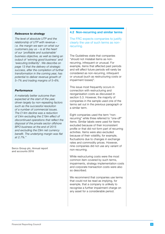#### <span id="page-10-0"></span>*Relevance to strategy*

*The level of absolute UTP and the relationship of UTP with revenue – i.e. the margin we earn on what our customers pay us – is at the heart of our 'profitable and sustainable' business objective, as well as being an output of 'winning good business' and 'executing brilliantly'. We describe on page 13 that the delivery of strategic success, after the completion of further transformation in the coming year, has potential to deliver revenue growth of 5–7% and trading margins of 5–6%.*

#### *Performance*

*A materially better outcome than expected at the start of the year, driven largely by non-repeating factors such as the successful resolution of a number of commercial issues. The £14m decline was a reduction of £4m excluding the £19m effect of discontinued operations that reflect the disposal of the private sector offshore BPO business at the end of 2015 and excluding the £9m net currency benefit. The underlying margin was flat at 2.7%."*

Serco Group plc, Annual report and accounts 2016

#### **4.2 Non-recurring and similar terms**

The FRC expects companies to justify clearly the use of such terms as nonrecurring.

The Guidelines state that companies "should not mislabel items as nonrecurring, infrequent or unusual. For example, items that affected past periods and will affect future periods will rarely be considered as non-recurring, infrequent or unusual (such as restructuring costs or impairment losses)".

This issue most frequently occurs in connection with restructuring and reorganisation costs as discussed in section 5.3. However, the majority of companies in the sample used one of the terms set out in the previous paragraph or a similar term.

Eight companies used the term "nonrecurring" while three referred to "one-off" items. Similar labels were used for items excluded because of their inconsistent profile or that did not form part of recurring activities. Items were also excluded because of their volatility, for example, fluctuations due to changes in exchange rates and commodity prices. However, nine companies did not use any variant of non-recurring.

While restructuring costs were the most common item covered by such terms, impairments, strategy implementation costs and corporate transaction costs were also so described.

We recommend that companies use terms that could not be read as implying, for example, that a company is unlikely to recognise a further impairment charge on any asset for a considerable period.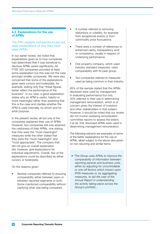#### <span id="page-11-0"></span>**4.3 Explanations for the use of APMs**

#### The FRC expects companies to set out clear explanations of why they have used APMs.

In our earlier review, we noted that explanations given as to how companies had determined that it was beneficial to disclose APMs varied significantly. All FTSE 350 companies provided at least some explanation but this was not the case amongst smaller companies. We were also concerned that some of the explanations given were cursory and boilerplate, for example, stating only that "these figures better reflect the performance of the business". In our view, a good explanation states why an APM is useful, helpful or more meaningful rather than asserting that this is the case and clarifies whether the APM is used internally, by whom and for what purpose.

In the present review, all but one of the companies explained their use of APMs. However, two companies still only asserted the usefulness of their APMs, one stating that they were the "most meaningful" measures while the other stated that they were the "most meaningful" and "most appropriate". The company that did not give an overall explanation did, however, give explanations for individual adjustments. Overall, few of the explanations could be described as either cursory or boilerplate.

On the reasons given:

Several companies referred to ensuring comparability either between years or between reported segments or both. Some mentioned comparability without clarifying what was being compared.

- A number referred to removing distortions or volatility, for example, from exceptional events or from commodity price fluctuations.
- There were a number of references to enhanced clarity, transparency and/ or consistency, usually in respect of underlying performance.
- One property company, which used industry standard measures, cited comparability with its peer group.
- Two companies referred to measures used as being common in their industry.

85% of the sample stated that the APMs disclosed were used by management in evaluating performance but only 40% referred to their use in determining management remuneration, which is of concern given the interest of investors and other stakeholders in that subject. However, it should be noted that our review did not involve reviewing remuneration committee reports to assess the extent, if at all, that disclosed APMs were used in determining management remuneration.

The following extracts are examples of some of the better explanations for the use of APMs, albeit subject to the above discussion on non-recurring and similar items:

*• "The Group uses APMs to improve the comparability of information between reporting periods and business units, either by adjusting for uncontrollable or one-off factors which impact upon IFRS measures or, by aggregating measures, to aid the user of the Annual Report in understanding the activity taking place across the Group's portfolio…*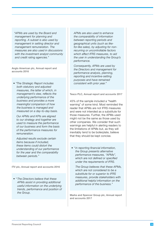*"APMs are used by the Board and management for planning and reporting. A subset is also used by management in setting director and management remuneration. The measures are also used in discussions with the investment analyst community and credit rating agencies."*

Anglo American plc, Annual report and accounts 2016

*• "The Strategic Report includes both statutory and adjusted measures, the latter of which, in management's view, reflects the underlying performance of the business and provides a more meaningful comparison of how the business is managed and measured on a day-to-day basis.* 

*Our APMs and KPIs are aligned to our strategy and together are used to measure the performance of our business and form the basis of the performance measures for remuneration.* 

*Adjusted results exclude certain items because if included, these items could distort the understanding of our performance for the year and the comparability between periods."* 

ITV plc, Annual report and accounts 2016

*• " The Directors believe that these APMs assist in providing additional useful information on the underlying trends, performance and position of the Group.* 

*APMs are also used to enhance the comparability of information between reporting periods and geographical units (such as likefor-like sales), by adjusting for nonrecurring or uncontrollable factors which affect IFRS measures, to aid the user in understanding the Group's performance.* 

*Consequently, APMs are used by the Directors and management for performance analysis, planning, reporting and incentive-setting purposes and have remained consistent with prior year."*

Tesco PLC, Annual report and accounts 2017

45% of the sample included a "health warning" of some kind. Most reminded the reader that APMs are not IFRS measures and were not intended as a substitute for those measures. Further, the APMs used might not be the same as those used by other companies. We consider that such warnings are helpful in alerting readers to the limitations of APMs but, as they will inevitably tend to be boilerplate, believe that they should be kept concise.

*• " In reporting financial information, the Group presents alternative performance measures, "APMs", which are not defined or specified under the requirements of IFRS.*

*The Group believes that these APMs, which are not considered to be a substitute for or superior to IFRS measures, provide stakeholders with additional helpful information on the performance of the business."* 

Marks and Spencer Group plc, Annual report and accounts 2017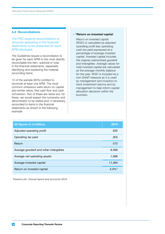#### <span id="page-13-0"></span>**4.4 Reconciliations**

The FRC expects reconciliations to amounts appearing in the financial statements to be presented for each APM disclosed.

The Guidelines require a reconciliation to be given for each APM to the most directly reconcilable line item, subtotal or total in the financial statements, separately identifying and explaining the material reconciling items.

12 of the sample (60%) omitted to reconcile at least one APM. The most common omissions were return on capital and similar ratios, free cash flow and cash conversion. Two of these are ratios but, for these, we would expect the numerator and denominator to be stated and, if necessary, reconciled to items in the financial statements as shown in the following example.

#### *• "Return on invested capital*

*Return on invested capital (ROIC) is calculated as adjusted operating profit less operating cash tax paid expressed as a percentage of average invested capital. Invested capital includes the original unamortised goodwill and intangibles. Average values for total invested capital are calculated as the average monthly balance for the year. ROIC is included as a non-GAAP measure as it is used by management and investors to track investment returns and by management to help inform capital allocation decisions within the business.*

| All figures in £ millions              | 2016      |
|----------------------------------------|-----------|
| Adjusted operating profit              | 635       |
| Operating tax paid                     | (63)      |
| Return                                 | 572       |
| Average goodwill and other intangibles | 9,468     |
| Average net operating assets           | 1,996     |
| Average invested capital               | 11,464    |
| Return on invested capital             | $5.0\%$ " |

Pearson plc, Annual report and accounts 2016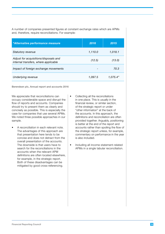A number of companies presented figures at constant exchange rates which are APMs and, therefore, require reconciliations. For example:

| "Alternative performance measure                                              | 2016    | 2015     |
|-------------------------------------------------------------------------------|---------|----------|
| Statutory revenue                                                             | 1,110.0 | 1,018.1  |
| Adjust for acquisitions/disposals and<br>internal transfers, where applicable | (12.5)  | (13.0)   |
| Impact of foreign exchange movements                                          |         | 70.3     |
| Underlying revenue                                                            | 1,097.5 | 1,075.4" |

Berendsen plc, Annual report and accounts 2016

We appreciate that reconciliations can occupy considerable space and disrupt the flow of reports and accounts. Companies should try to present them as clearly and concisely as possible. This is especially the case for companies that use several APMs. We noted three possible approaches in our sample.

- A reconciliation in each relevant note. The advantages of this approach are that presentation here tends to be concise and does not detract from the overall presentation of the accounts. The downside is that users have to search for the reconciliations in the accounts when the relevant APM definitions are often located elsewhere, for example, in the strategic report. Both of these disadvantages can be mitigated by good cross-referencing.
- Collecting all the reconciliations in one place. This is usually in the financial review, or similar section, of the strategic report or under "other information" at the back of the accounts. In this approach, the definitions and reconciliation are often provided together. Arguably, positioning is better at the end of the report and accounts rather than spoiling the flow of the strategic report unless, for example, commentary on performance in the year is also included.
- Including all income statement-related APMs in a single tabular reconciliation.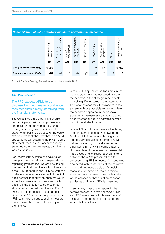<span id="page-15-0"></span>

| <b>Reconciliation of 2016 statutory results to performance measures</b> |                           |                                            |                            |                                              |                   |               |                                               |                          |                                 |
|-------------------------------------------------------------------------|---------------------------|--------------------------------------------|----------------------------|----------------------------------------------|-------------------|---------------|-----------------------------------------------|--------------------------|---------------------------------|
|                                                                         | 2016 statutory<br>results | costs<br>restructuring<br>Last<br>Build to | amortisation<br>Intangible | <i>increases.</i><br>(releases)<br>Provision | Gains on disposal | Results of ES | Rail<br>$\omega$<br>Germany<br><b>Results</b> | Other                    | performance<br>measures<br>2016 |
|                                                                         | £m                        | £m                                         | £m                         | £m                                           | £m                | £m            | £m                                            | £m                       | £m                              |
| Group revenue (statutory)                                               | 6,923                     |                                            |                            |                                              |                   | (3)           | (138)                                         | $\overline{\phantom{a}}$ | 6,782                           |
| Group operating profit/(loss)                                           | (41)                      | 14                                         | 9                          | 31                                           | (8)               | 6             | (1)                                           | 2                        | 12                              |

Extract Balfour Beatty, Annual report and accounts 2016

#### **4.5 Prominence**

The FRC expects APMs to be disclosed with no greater prominence than measures directly stemming from the financial statements.

The Guidelines state that APMs should not be displayed with more prominence, emphasis or authority than measures directly stemming from the financial statements. For the purposes of the earlier exercise, we took the view that, if an APM appeared as a line item in the IFRS income statement, then, as the measure directly stemmed from the statements, prominence was not an issue.

For the present exercise, we have taken the opportunity to refine our expectations regarding prominence. We are now taking the position that prominence is not an issue if the APM appears in the IFRS column of a multi-column income statement. If the APM does not fulfil that criterion, then we would expect a corresponding measure which does fulfil the criterion to be presented alongside, with equal prominence. For 13 (65%) of the companies in our sample, either the APM presented appeared in the IFRS column or a corresponding measure that did was shown with at least equal prominence.

Where APMs appeared as line items in the income statement, we assessed whether the narrative in the strategic report dealt with all significant items in that statement. This was the case for all the reports in the sample with one possible exception. Here, the narrative appeared in the financial statements themselves so that it was not clear whether or not this narrative formed part of the strategic report.

Where APMs did not appear as line items, all of the sample began by showing both APMs and IFRS amounts. Trading was then usually discussed in terms of APMs before concluding with a discussion of other items in the IFRS income statement. However, two of the seven companies did not discuss all significant reconciling items between the APMs presented and the corresponding IFRS amounts. An issue was also noted with those parts of the narrative which did not focus solely on financial measures, for example, the chairman's statement or chief executive's review. We would emphasise that equal prominence applies each time an APM is presented.

In summary, most of the reports in the sample gave equal prominence to APMs and IFRS measures but this was more of an issue in some parts of the report and accounts than others.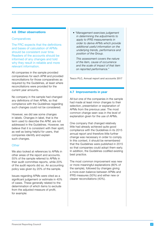#### <span id="page-16-0"></span>**4.6 Other observations**

#### **Comparatives**

The FRC expects that the definitions and bases of calculation of APMs should be consistent over time. Readers of the accounts should be informed of any changes and told why they result in reliable and more relevant information.

All companies in the sample provided comparatives for each APM and provided reconciliations for those comparatives as required by the Guidelines, at least where reconciliations were provided for the current year amounts.

No company in the sample had changed any definitions of their APMs, so that compliance with the Guidelines regarding such changes could not be considered.

However, we did see some changes in labels. Changes in label, that is the term used to describe the APM, are not addressed in the Guidelines. However, we believe that it is consistent with their spirit, as well as being helpful for users, that companies identify and explain such changes.

#### **Other**

We also looked at references to APMs in other areas of the report and accounts. 55% of the sample referred to APMs in their audit committee reports, while 20% of the audit reports did so. An accounting policy was given by 20% of the sample.

Issues regarding APMs were cited as a significant judgement or estimate in 40% of cases. These generally related to the determination of which items to exclude from the adjusted measure of profit, for example:

*• "Management exercises judgement in determining the adjustments to apply to IFRS measurements in order to derive APMs which provide additional useful information on the underlying trends, performance and position of the Group.* 

*This assessment covers the nature of the item, cause of occurrence and the scale of impact of that item on reported performance."*

Tesco PLC, Annual report and accounts 2017

#### **4.7 Improvements in year**

All but one of the companies in the sample had made at least minor changes to their selection, presentation or explanation of APMs from the previous year. The most common change seen was in the level of explanation given for the use of APMs.

One company that changed relatively little had already achieved quite good compliance with the Guidelines in its 2015 annual report and therefore little further change was necessary in order to comply. In this context, it should be remembered that the Guidelines were published in 2015 so that companies could adopt them early. In addition, the Guidelines codified existing best practice.

The most common improvement was new or more meaningful explanations (80% of the sample), followed by changes giving a more even balance between APMs and IFRS measures (50%) and either new or clearer reconciliations (40%).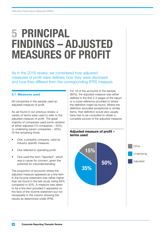### <span id="page-17-0"></span>**5 PRINCIPAL FINDINGS – ADJUSTED MEASURES OF PROFIT**

As in the 2016 review, we considered how adjusted measures of profit were defined, how they were disclosed and how they differed from the corresponding IFRS measure.

#### **5.1 Measures used**

All companies in the sample used an adjusted measure of profit.

As we found in our previous review, a variety of terms were used to refer to the adjusted measure of profit. The great majority of companies used some variation of either adjusted (10 companies – 50%) or underlying (seven companies – 35%). Of the remaining three:

- One, a property company, used an industry specific measure.
- One referred to operating profit.
- One used the term "reported", which was a cause for concern, given the potential for misunderstanding.

The proportion of accounts where the adjusted measure appeared as a line item in the income statement was rather higher than we found in the last study, being 65% compared to 50%. A measure was taken to be a line item provided it appeared on the face of the income statement but not necessarily in the column showing the results as determined under IFRS.

For 16 of the accounts in the sample (80%), the adjusted measure was either defined in the first 2-3 pages of the report or a cross-reference provided to where the definition might be found. Where the definition excluded exceptional or similar items, that definition would also usually have had to be consulted to obtain a complete picture of the adjusted measure.

#### **Adjusted measure of profit – terms used**





**18 Corporate Reporting Thematic Review**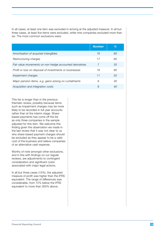In all cases, at least one item was excluded in arriving at the adjusted measure. In all but three cases, at least five items were excluded, while nine companies excluded more than six. The most common exclusions were:

|                                                         | <b>Number</b> | $\%$ |
|---------------------------------------------------------|---------------|------|
| Amortisation of acquired intangibles                    | 16            | 80   |
| Restructuring charges                                   | 17            | 85   |
| Fair value movements on non-hedge accounted derivatives | 7             | 35   |
| Profit or loss on disposal of investments or businesses | 16            | 80   |
| Impairment charges                                      | 11            | 55   |
| Major pension items, e.g. gains arising on curtailments | 6             | 30   |
| Acquisition and integration costs                       | 8             | 40   |

This list is longer than in the previous thematic review, possibly because items such as impairment charges may be more likely to be recorded in full year accounts rather than at the interim stage. Sharebased payments has come off the list as only three companies in the sample adjusted for this item. We welcome this finding given the observation we made in the last review that it was not clear to us why share-based payment charges should be excluded as they appear to be a valid cost of the business and relieve companies of an alternative cash expense.

Worthy of note amongst other exclusions, and in line with findings on our regular reviews, are adjustments to contingent consideration and significant costs associated with major legal actions.

In all but three cases (15%), the adjusted measure of profit was higher than the IFRS equivalent. The range of differences was considerable, from 72% below the IFRS equivalent to more than 300% above.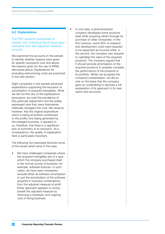#### <span id="page-19-0"></span>**5.2 Explanations**

#### The FRC expects companies to explain why individual items have been excluded from the adjusted measure of profit.

We examined the accounts in the sample to identify whether reasons were given for specific exclusions over and above the reasons given for the use of APMs discussed above. Explanations for excluding restructuring costs are examined in the next section.

Eight companies in the sample advanced explanations supporting the exclusion of amortisation of acquired intangibles. While we did not find any of the explanations persuasive, we note the prevalence of this particular adjustment and the widely expressed view that users themselves habitually disregard this cost. We observe, however, that the original expenditure which is being amortised contributed to the profits now being generated by the enlarged business. It appears to us, therefore, that there is a significant lack of symmetry in its exclusion. As a consequence, the quality of explanation here is particularly important.

The following two examples illustrate some of the issues which arise in this area.

We have challenged companies where the acquired intangibles are of a type which the company purchased itself in the normal course of business, for example, software licences. In such cases, we have seen companies exclude either all software amortisation or just the amortisation of the software acquired in business combinations from the adjusted measure of profit. Either approach appears to unduly benefit the adjusted measure by removing a necessary and ongoing cost of doing business.

In one case, a pharmaceutical company developed some products itself while acquiring others through its purchase of other companies. In the first instance, some 90% of research and development costs were required to be expensed as incurred while, in the second, the company was required to capitalise the value of the acquired products. The company argued that it should exclude amortisation of the acquired products to properly compare the performance of the products in its portfolio. Whilst we accepted the company's presentation, we did so only on the basis that the company gave an undertaking to disclose a full explanation of its approach in its next report and accounts.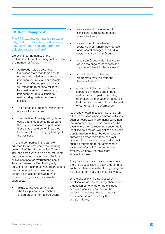#### <span id="page-20-0"></span>**5.3 Restructuring costs**

The FRC expects companies to explain why, and to what extent, restructuring costs have been excluded from the adjusted measure of profit.

We examined the quality of the explanations for restructuring costs in view of a number of factors:

- As already noted above, the Guidelines state that items should not be mislabelled as "non-recurring, infrequent or unusual. For example items that affected past periods and will affect future periods will rarely be considered as non-recurring, infrequent or unusual (such as restructuring costs or impairment losses)".
- The degree of judgement which often appears to be involved.
- The practice of distinguishing those costs that should be stripped out of the adjusted measure of profit and those that should be left in as they form part of the underlying trading of the business.

17 of the companies in the sample adjusted for at least some restructuring costs. 12 of the 17 companies (71%) included some variation on non-recurring, unusual or infrequent in their definitions or explanations for restructuring costs. Two companies justified this by only adjusting for major, multi-year restructuring programmes with a known budget. Others distinguished between types of restructuring costs, for example such costs:

• "relate to the restructuring of the Group's portfolio which are incremental to normal operations" • "are as a result of a number of significant restructuring projects across the Group"

•

- "are excluded from adjusted operating profit where they represent fundamental changes in individual operations around the Group"
- "arise from Group-wide initiatives to reduce the ongoing cost base and improve efficiency in the business"
- "arose in relation to the restructuring programme resulting from the Strategy Review"
- arose from initiatives which "are substantial in scope and impact and do not form part of recurring operational or management activities that the directors would consider part of our underlying performance".

As already noted in section 4.2, there will often be an issue where common activities such as restructuring are identified as nonrecurring or similar. This is much less the case where the restructuring concerned is identified as a major, well-defined business transformation with set borders, possibly spreading across more than one year. Where this is the case, we would expect such a programme to be referenced in each year affected. From our regular reviews, we know that this is not always the case.

The position is more questionable where there is a succession of such programmes such that there is a restructuring charge to be adjusted for in all, or almost all, years.

Where exclusions are not based on an identification as non-recurring, there is still a question as to whether the excluded costs are genuinely not part of the underlying business. Here, the quality of explanation presented by the company is key.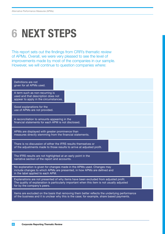## <span id="page-21-0"></span>**6 NEXT STEPS**

This report sets out the findings from CRR's thematic review of APMs. Overall, we were very pleased to see the level of improvements made by most of the companies in our sample. However, we will continue to question companies where: